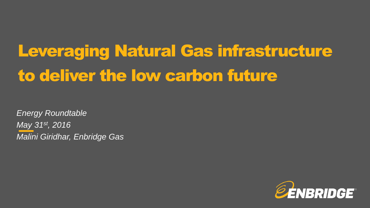# Leveraging Natural Gas infrastructure to deliver the low carbon future

*Energy Roundtable May 31st, 2016 Malini Giridhar, Enbridge Gas*

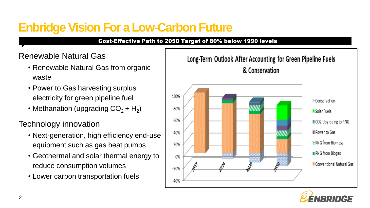# **Enbridge Vision For a Low-Carbon Future**

### Cost-Effective Path to 2050 Target of 80% below 1990 levels

## Renewable Natural Gas

- Renewable Natural Gas from organic waste
- Power to Gas harvesting surplus electricity for green pipeline fuel
- Methanation (upgrading  $CO_2 + H_2$ )

Technology innovation

- Next-generation, high efficiency end-use equipment such as gas heat pumps
- Geothermal and solar thermal energy to reduce consumption volumes
- Lower carbon transportation fuels